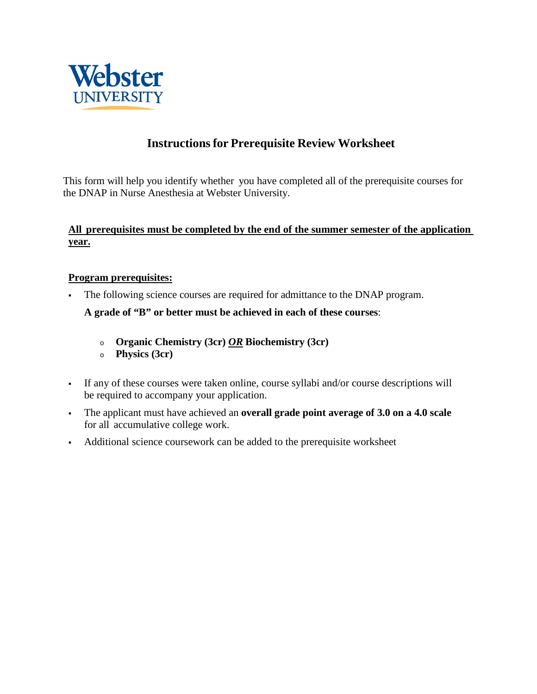

## **Instructionsfor Prerequisite Review Worksheet**

This form will help you identify whether you have completed all of the prerequisite courses for the DNAP in Nurse Anesthesia at Webster University.

## **All prerequisites must be completed by the end of the summer semester of the application year.**

## **Program prerequisites:**

The following science courses are required for admittance to the DNAP program.

**A grade of "B" or better must be achieved in each of these courses**:

- <sup>o</sup> **Organic Chemistry (3cr)** *OR* **Biochemistry (3cr)**
- <sup>o</sup> **Physics (3cr)**
- If any of these courses were taken online, course syllabi and/or course descriptions will be required to accompany your application.
- The applicant must have achieved an **overall grade point average of 3.0 on a 4.0 scale**  for all accumulative college work.
- Additional science coursework can be added to the prerequisite worksheet